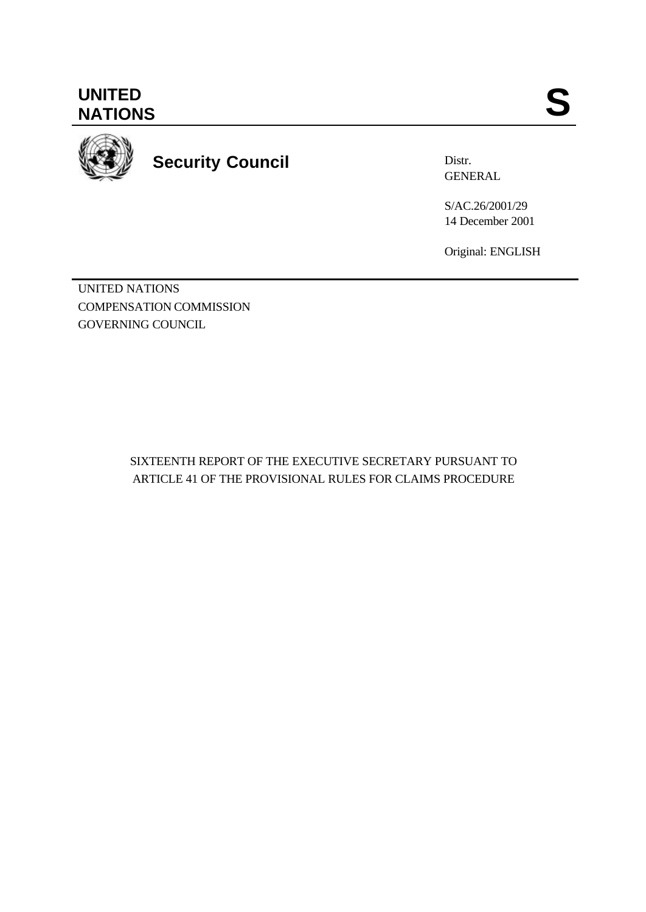**UNITED** UNITED SANTIONS



**Security Council**

Distr. GENERAL

S/AC.26/2001/29 14 December 2001

Original: ENGLISH

UNITED NATIONS COMPENSATION COMMISSION GOVERNING COUNCIL

> SIXTEENTH REPORT OF THE EXECUTIVE SECRETARY PURSUANT TO ARTICLE 41 OF THE PROVISIONAL RULES FOR CLAIMS PROCEDURE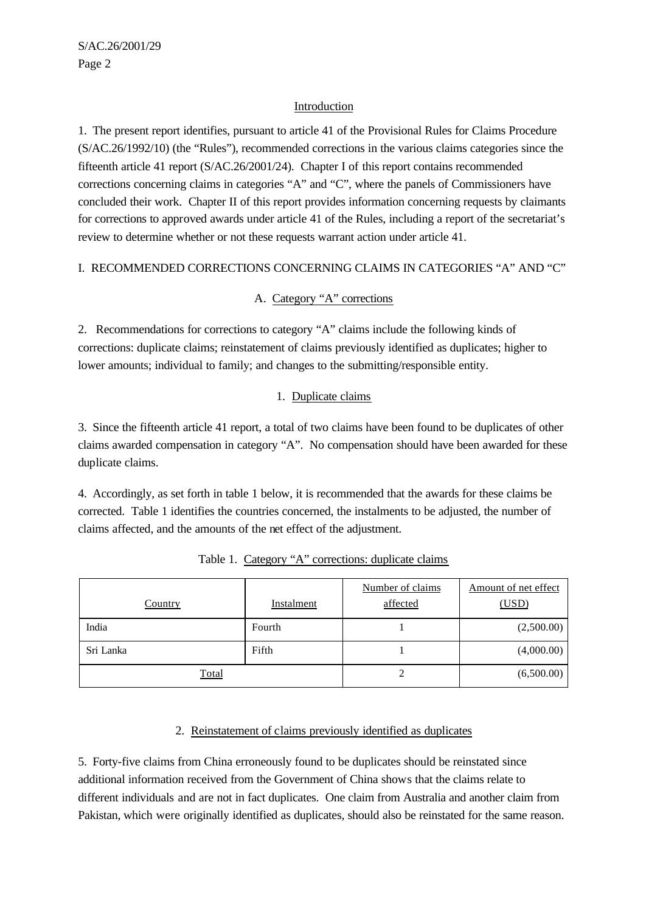## Introduction

1. The present report identifies, pursuant to article 41 of the Provisional Rules for Claims Procedure (S/AC.26/1992/10) (the "Rules"), recommended corrections in the various claims categories since the fifteenth article 41 report (S/AC.26/2001/24). Chapter I of this report contains recommended corrections concerning claims in categories "A" and "C", where the panels of Commissioners have concluded their work. Chapter II of this report provides information concerning requests by claimants for corrections to approved awards under article 41 of the Rules, including a report of the secretariat's review to determine whether or not these requests warrant action under article 41.

## I. RECOMMENDED CORRECTIONS CONCERNING CLAIMS IN CATEGORIES "A" AND "C"

## A. Category "A" corrections

2. Recommendations for corrections to category "A" claims include the following kinds of corrections: duplicate claims; reinstatement of claims previously identified as duplicates; higher to lower amounts; individual to family; and changes to the submitting/responsible entity.

## 1. Duplicate claims

3. Since the fifteenth article 41 report, a total of two claims have been found to be duplicates of other claims awarded compensation in category "A". No compensation should have been awarded for these duplicate claims.

4. Accordingly, as set forth in table 1 below, it is recommended that the awards for these claims be corrected. Table 1 identifies the countries concerned, the instalments to be adjusted, the number of claims affected, and the amounts of the net effect of the adjustment.

| <b>Country</b> | Instalment | Number of claims<br>affected | Amount of net effect<br>(USD) |
|----------------|------------|------------------------------|-------------------------------|
| India          | Fourth     |                              | (2,500.00)                    |
| Sri Lanka      | Fifth      |                              | (4,000.00)                    |
| Total          |            |                              | (6,500.00)                    |

Table 1. Category "A" corrections: duplicate claims

### 2. Reinstatement of claims previously identified as duplicates

5. Forty-five claims from China erroneously found to be duplicates should be reinstated since additional information received from the Government of China shows that the claims relate to different individuals and are not in fact duplicates. One claim from Australia and another claim from Pakistan, which were originally identified as duplicates, should also be reinstated for the same reason.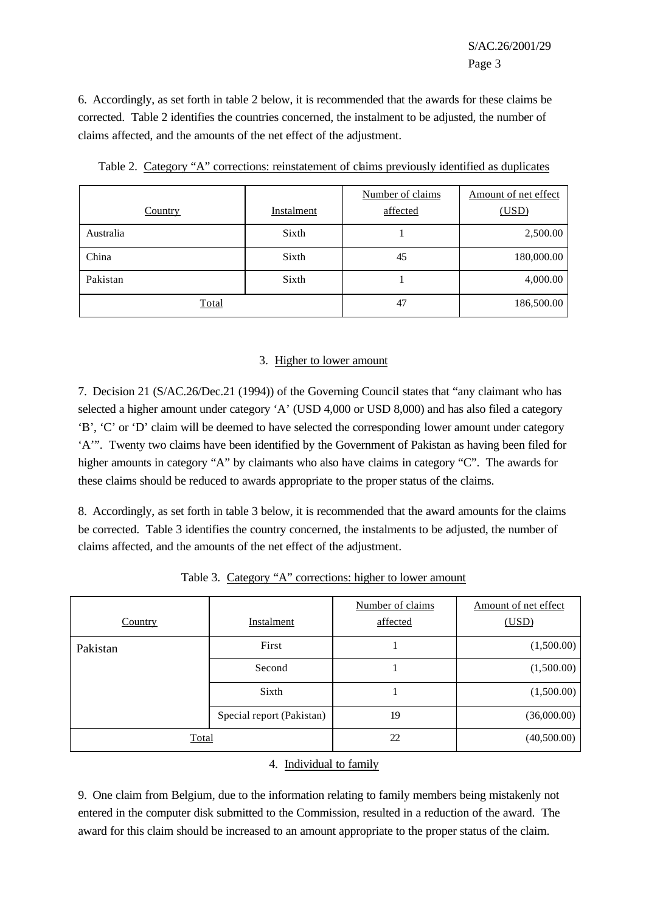6. Accordingly, as set forth in table 2 below, it is recommended that the awards for these claims be corrected. Table 2 identifies the countries concerned, the instalment to be adjusted, the number of claims affected, and the amounts of the net effect of the adjustment.

| <b>Country</b> | Instalment | Number of claims<br>affected | Amount of net effect<br>(USD) |
|----------------|------------|------------------------------|-------------------------------|
| Australia      | Sixth      |                              | 2,500.00                      |
| China          | Sixth      | 45                           | 180,000.00                    |
| Pakistan       | Sixth      |                              | 4,000.00                      |
| Total          |            | 47                           | 186,500.00                    |

Table 2. Category "A" corrections: reinstatement of claims previously identified as duplicates

## 3. Higher to lower amount

7. Decision 21 (S/AC.26/Dec.21 (1994)) of the Governing Council states that "any claimant who has selected a higher amount under category 'A' (USD 4,000 or USD 8,000) and has also filed a category 'B', 'C' or 'D' claim will be deemed to have selected the corresponding lower amount under category 'A'". Twenty two claims have been identified by the Government of Pakistan as having been filed for higher amounts in category "A" by claimants who also have claims in category "C". The awards for these claims should be reduced to awards appropriate to the proper status of the claims.

8. Accordingly, as set forth in table 3 below, it is recommended that the award amounts for the claims be corrected. Table 3 identifies the country concerned, the instalments to be adjusted, the number of claims affected, and the amounts of the net effect of the adjustment.

| Country      | Instalment                | Number of claims<br>affected | Amount of net effect<br>(USD) |
|--------------|---------------------------|------------------------------|-------------------------------|
| Pakistan     | First                     |                              | (1,500.00)                    |
|              | Second                    |                              | (1,500.00)                    |
|              | Sixth                     |                              | (1,500.00)                    |
|              | Special report (Pakistan) | 19                           | (36,000.00)                   |
| <b>Total</b> |                           | 22                           | (40,500.00)                   |

Table 3. Category "A" corrections: higher to lower amount

#### 4. Individual to family

9. One claim from Belgium, due to the information relating to family members being mistakenly not entered in the computer disk submitted to the Commission, resulted in a reduction of the award. The award for this claim should be increased to an amount appropriate to the proper status of the claim.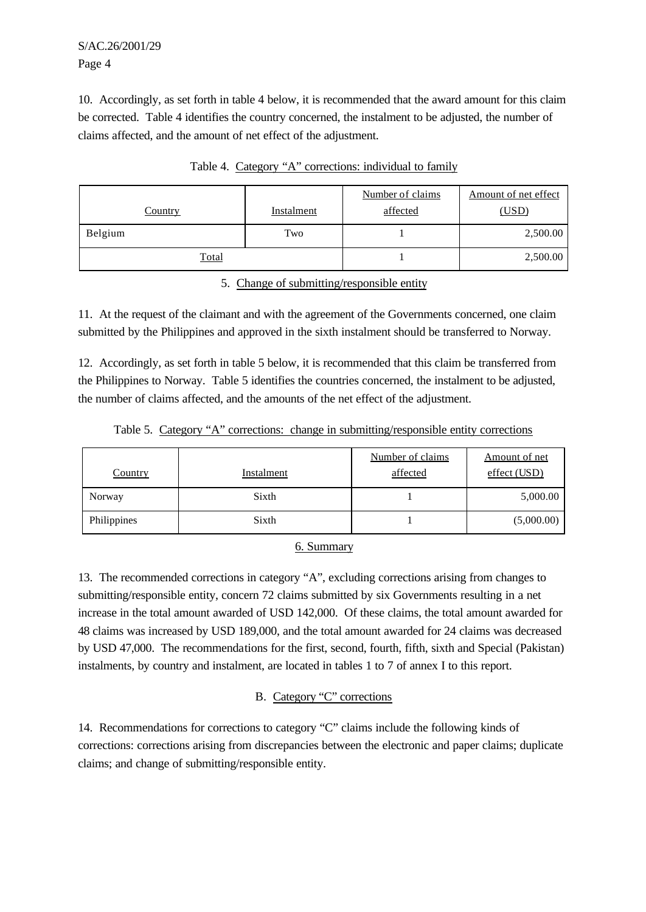S/AC.26/2001/29 Page 4

10. Accordingly, as set forth in table 4 below, it is recommended that the award amount for this claim be corrected. Table 4 identifies the country concerned, the instalment to be adjusted, the number of claims affected, and the amount of net effect of the adjustment.

| <b>Country</b> | Instalment | Number of claims<br>affected | Amount of net effect<br>(USD) |
|----------------|------------|------------------------------|-------------------------------|
| Belgium        | Two        |                              | 2,500.00                      |
| <u>Total</u>   |            |                              | 2,500.00                      |

Table 4. Category "A" corrections: individual to family

5. Change of submitting/responsible entity

11. At the request of the claimant and with the agreement of the Governments concerned, one claim submitted by the Philippines and approved in the sixth instalment should be transferred to Norway.

12. Accordingly, as set forth in table 5 below, it is recommended that this claim be transferred from the Philippines to Norway. Table 5 identifies the countries concerned, the instalment to be adjusted, the number of claims affected, and the amounts of the net effect of the adjustment.

|         |            |                  | ------------     |
|---------|------------|------------------|------------------|
|         |            |                  |                  |
|         |            | Number of claims | Amount of net    |
| Country | Instalment | affected         | effect (<br>LISD |

Table 5. Category "A" corrections: change in submitting/responsible entity corrections

| Philippines<br>. . | Sixth | (00)<br>000 |
|--------------------|-------|-------------|
|                    | - -   |             |

Norway 5,000.00 Sixth 1 5,000.00

#### 6. Summary

13. The recommended corrections in category "A", excluding corrections arising from changes to submitting/responsible entity, concern 72 claims submitted by six Governments resulting in a net increase in the total amount awarded of USD 142,000. Of these claims, the total amount awarded for 48 claims was increased by USD 189,000, and the total amount awarded for 24 claims was decreased by USD 47,000. The recommendations for the first, second, fourth, fifth, sixth and Special (Pakistan) instalments, by country and instalment, are located in tables 1 to 7 of annex I to this report.

# B. Category "C" corrections

14. Recommendations for corrections to category "C" claims include the following kinds of corrections: corrections arising from discrepancies between the electronic and paper claims; duplicate claims; and change of submitting/responsible entity.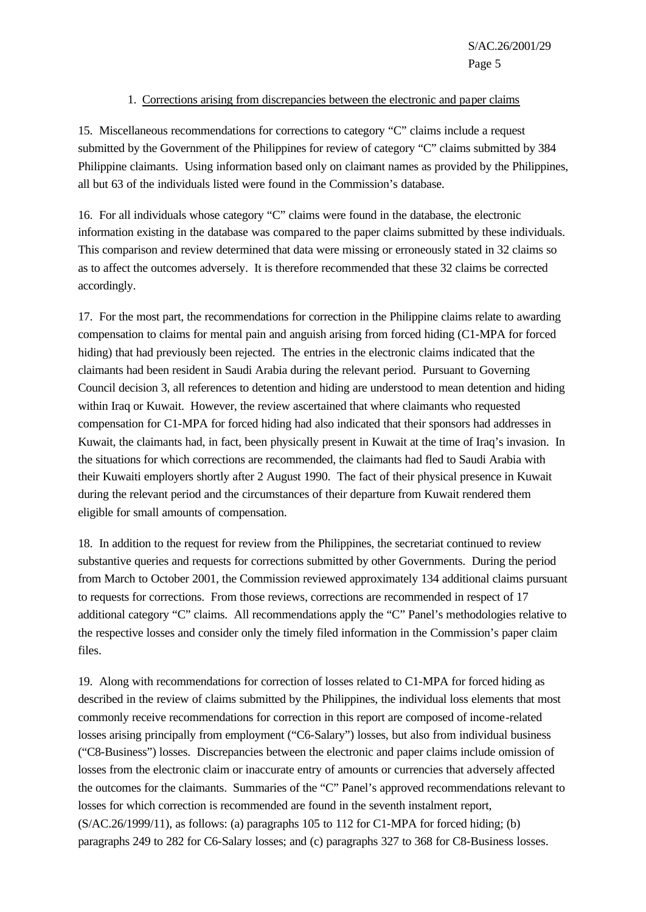#### 1. Corrections arising from discrepancies between the electronic and paper claims

15. Miscellaneous recommendations for corrections to category "C" claims include a request submitted by the Government of the Philippines for review of category "C" claims submitted by 384 Philippine claimants. Using information based only on claimant names as provided by the Philippines, all but 63 of the individuals listed were found in the Commission's database.

16. For all individuals whose category "C" claims were found in the database, the electronic information existing in the database was compared to the paper claims submitted by these individuals. This comparison and review determined that data were missing or erroneously stated in 32 claims so as to affect the outcomes adversely. It is therefore recommended that these 32 claims be corrected accordingly.

17. For the most part, the recommendations for correction in the Philippine claims relate to awarding compensation to claims for mental pain and anguish arising from forced hiding (C1-MPA for forced hiding) that had previously been rejected. The entries in the electronic claims indicated that the claimants had been resident in Saudi Arabia during the relevant period. Pursuant to Governing Council decision 3, all references to detention and hiding are understood to mean detention and hiding within Iraq or Kuwait. However, the review ascertained that where claimants who requested compensation for C1-MPA for forced hiding had also indicated that their sponsors had addresses in Kuwait, the claimants had, in fact, been physically present in Kuwait at the time of Iraq's invasion. In the situations for which corrections are recommended, the claimants had fled to Saudi Arabia with their Kuwaiti employers shortly after 2 August 1990. The fact of their physical presence in Kuwait during the relevant period and the circumstances of their departure from Kuwait rendered them eligible for small amounts of compensation.

18. In addition to the request for review from the Philippines, the secretariat continued to review substantive queries and requests for corrections submitted by other Governments. During the period from March to October 2001, the Commission reviewed approximately 134 additional claims pursuant to requests for corrections. From those reviews, corrections are recommended in respect of 17 additional category "C" claims. All recommendations apply the "C" Panel's methodologies relative to the respective losses and consider only the timely filed information in the Commission's paper claim files.

19. Along with recommendations for correction of losses related to C1-MPA for forced hiding as described in the review of claims submitted by the Philippines, the individual loss elements that most commonly receive recommendations for correction in this report are composed of income-related losses arising principally from employment ("C6-Salary") losses, but also from individual business ("C8-Business") losses. Discrepancies between the electronic and paper claims include omission of losses from the electronic claim or inaccurate entry of amounts or currencies that adversely affected the outcomes for the claimants. Summaries of the "C" Panel's approved recommendations relevant to losses for which correction is recommended are found in the seventh instalment report, (S/AC.26/1999/11), as follows: (a) paragraphs 105 to 112 for C1-MPA for forced hiding; (b) paragraphs 249 to 282 for C6-Salary losses; and (c) paragraphs 327 to 368 for C8-Business losses.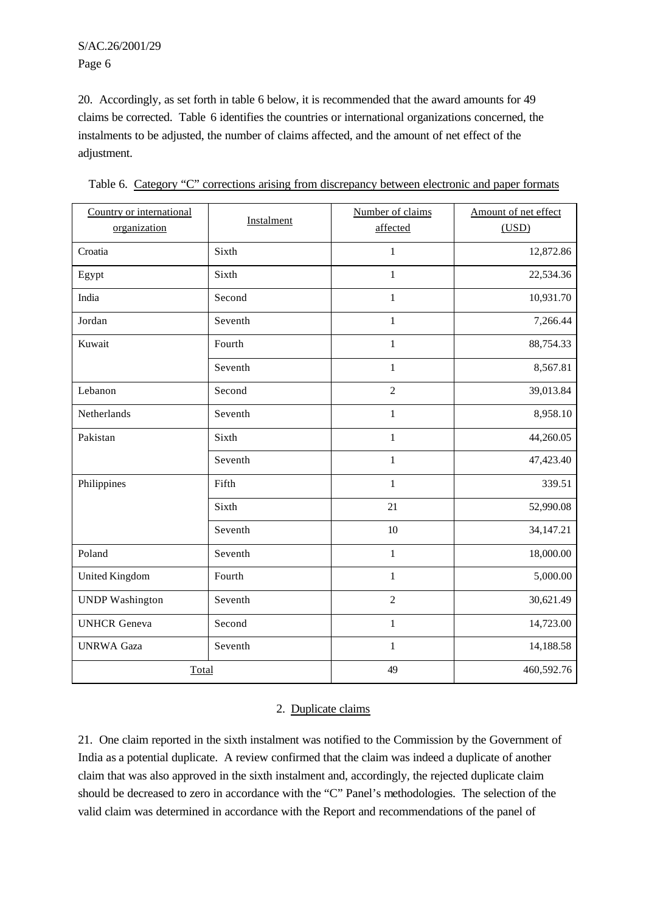S/AC.26/2001/29 Page 6

20. Accordingly, as set forth in table 6 below, it is recommended that the award amounts for 49 claims be corrected. Table 6 identifies the countries or international organizations concerned, the instalments to be adjusted, the number of claims affected, and the amount of net effect of the adjustment.

| Country or international<br>organization | Instalment | Number of claims<br>affected | Amount of net effect<br>(USD) |
|------------------------------------------|------------|------------------------------|-------------------------------|
| Croatia                                  | Sixth      | $\mathbf{1}$                 | 12,872.86                     |
| Egypt                                    | Sixth      | $\mathbf{1}$                 | 22,534.36                     |
| India                                    | Second     | 1                            | 10,931.70                     |
| Jordan                                   | Seventh    | 1                            | 7,266.44                      |
| Kuwait                                   | Fourth     | $\mathbf{1}$                 | 88,754.33                     |
|                                          | Seventh    | $\mathbf{1}$                 | 8,567.81                      |
| Lebanon                                  | Second     | $\overline{2}$               | 39,013.84                     |
| Netherlands                              | Seventh    | $\mathbf{1}$                 | 8,958.10                      |
| Pakistan                                 | Sixth      | $\mathbf{1}$                 | 44,260.05                     |
|                                          | Seventh    | $\mathbf{1}$                 | 47,423.40                     |
| Philippines                              | Fifth      | $\mathbf{1}$                 | 339.51                        |
|                                          | Sixth      | 21                           | 52,990.08                     |
|                                          | Seventh    | $10\,$                       | 34,147.21                     |
| Poland                                   | Seventh    | $\mathbf{1}$                 | 18,000.00                     |
| <b>United Kingdom</b>                    | Fourth     | $\mathbf{1}$                 | 5,000.00                      |
| <b>UNDP</b> Washington                   | Seventh    | $\overline{2}$               | 30,621.49                     |
| <b>UNHCR</b> Geneva                      | Second     | $\mathbf{1}$                 | 14,723.00                     |
| <b>UNRWA Gaza</b>                        | Seventh    | $\mathbf{1}$                 | 14,188.58                     |
| Total                                    |            | 49                           | 460,592.76                    |

Table 6. Category "C" corrections arising from discrepancy between electronic and paper formats

### 2. Duplicate claims

21. One claim reported in the sixth instalment was notified to the Commission by the Government of India as a potential duplicate. A review confirmed that the claim was indeed a duplicate of another claim that was also approved in the sixth instalment and, accordingly, the rejected duplicate claim should be decreased to zero in accordance with the "C" Panel's methodologies. The selection of the valid claim was determined in accordance with the Report and recommendations of the panel of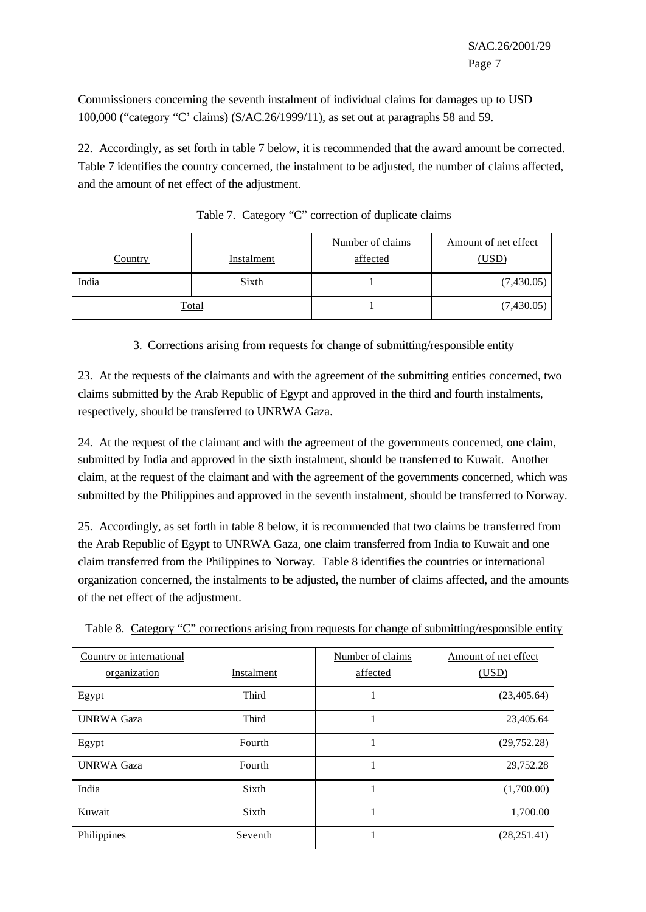Commissioners concerning the seventh instalment of individual claims for damages up to USD 100,000 ("category "C' claims) (S/AC.26/1999/11), as set out at paragraphs 58 and 59.

22. Accordingly, as set forth in table 7 below, it is recommended that the award amount be corrected. Table 7 identifies the country concerned, the instalment to be adjusted, the number of claims affected, and the amount of net effect of the adjustment.

| <b>Country</b> | <b>Instalment</b> | Number of claims<br>affected | Amount of net effect<br>(USD) |
|----------------|-------------------|------------------------------|-------------------------------|
| India          | Sixth             |                              | (7,430.05)                    |
|                | Total             |                              | (7,430.05)                    |

Table 7. Category "C" correction of duplicate claims

#### 3. Corrections arising from requests for change of submitting/responsible entity

23. At the requests of the claimants and with the agreement of the submitting entities concerned, two claims submitted by the Arab Republic of Egypt and approved in the third and fourth instalments, respectively, should be transferred to UNRWA Gaza.

24. At the request of the claimant and with the agreement of the governments concerned, one claim, submitted by India and approved in the sixth instalment, should be transferred to Kuwait. Another claim, at the request of the claimant and with the agreement of the governments concerned, which was submitted by the Philippines and approved in the seventh instalment, should be transferred to Norway.

25. Accordingly, as set forth in table 8 below, it is recommended that two claims be transferred from the Arab Republic of Egypt to UNRWA Gaza, one claim transferred from India to Kuwait and one claim transferred from the Philippines to Norway. Table 8 identifies the countries or international organization concerned, the instalments to be adjusted, the number of claims affected, and the amounts of the net effect of the adjustment.

| Country or international<br>organization | Instalment   | Number of claims<br>affected | Amount of net effect<br>(USD) |
|------------------------------------------|--------------|------------------------------|-------------------------------|
| Egypt                                    | <b>Third</b> |                              | (23, 405.64)                  |
| <b>UNRWA Gaza</b>                        | <b>Third</b> | ٠                            | 23,405.64                     |
| Egypt                                    | Fourth       |                              | (29, 752.28)                  |
| <b>UNRWA Gaza</b>                        | Fourth       |                              | 29,752.28                     |
| India                                    | Sixth        |                              | (1,700.00)                    |
| Kuwait                                   | Sixth        |                              | 1,700.00                      |
| Philippines                              | Seventh      |                              | (28, 251.41)                  |

Table 8. Category "C" corrections arising from requests for change of submitting/responsible entity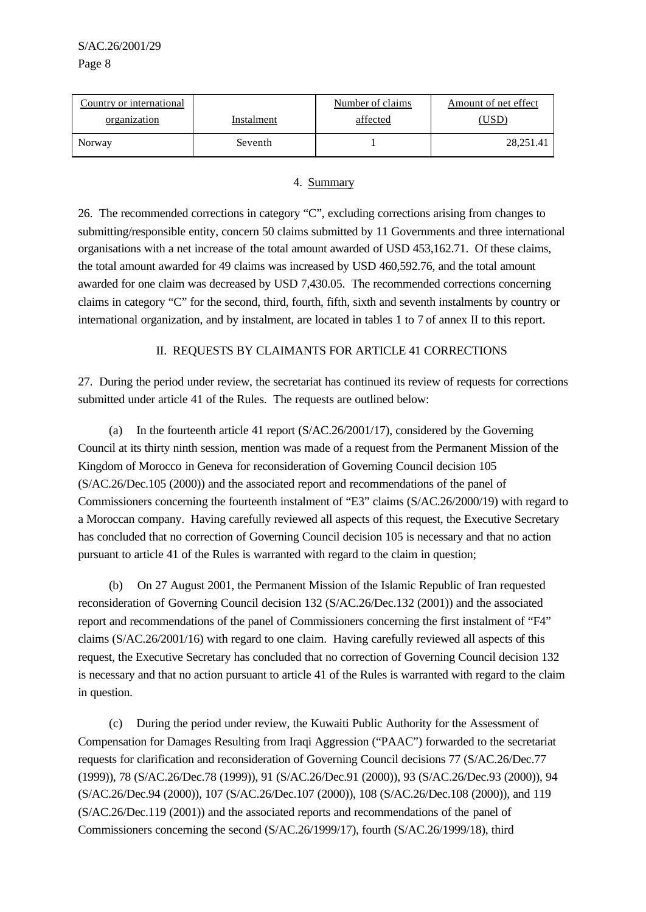| Country or international |            | Number of claims | Amount of net effect |
|--------------------------|------------|------------------|----------------------|
| organization             | Instalment | affected         | $USD^{\circ}$        |
| Norway                   | Seventh    |                  | 28,251.41            |

#### 4. Summary

26. The recommended corrections in category "C", excluding corrections arising from changes to submitting/responsible entity, concern 50 claims submitted by 11 Governments and three international organisations with a net increase of the total amount awarded of USD 453,162.71. Of these claims, the total amount awarded for 49 claims was increased by USD 460,592.76, and the total amount awarded for one claim was decreased by USD 7,430.05. The recommended corrections concerning claims in category "C" for the second, third, fourth, fifth, sixth and seventh instalments by country or international organization, and by instalment, are located in tables 1 to 7 of annex II to this report.

## II. REQUESTS BY CLAIMANTS FOR ARTICLE 41 CORRECTIONS

27. During the period under review, the secretariat has continued its review of requests for corrections submitted under article 41 of the Rules. The requests are outlined below:

(a) In the fourteenth article 41 report (S/AC.26/2001/17), considered by the Governing Council at its thirty ninth session, mention was made of a request from the Permanent Mission of the Kingdom of Morocco in Geneva for reconsideration of Governing Council decision 105 (S/AC.26/Dec.105 (2000)) and the associated report and recommendations of the panel of Commissioners concerning the fourteenth instalment of "E3" claims (S/AC.26/2000/19) with regard to a Moroccan company. Having carefully reviewed all aspects of this request, the Executive Secretary has concluded that no correction of Governing Council decision 105 is necessary and that no action pursuant to article 41 of the Rules is warranted with regard to the claim in question;

(b) On 27 August 2001, the Permanent Mission of the Islamic Republic of Iran requested reconsideration of Governing Council decision 132 (S/AC.26/Dec.132 (2001)) and the associated report and recommendations of the panel of Commissioners concerning the first instalment of "F4" claims (S/AC.26/2001/16) with regard to one claim. Having carefully reviewed all aspects of this request, the Executive Secretary has concluded that no correction of Governing Council decision 132 is necessary and that no action pursuant to article 41 of the Rules is warranted with regard to the claim in question.

(c) During the period under review, the Kuwaiti Public Authority for the Assessment of Compensation for Damages Resulting from Iraqi Aggression ("PAAC") forwarded to the secretariat requests for clarification and reconsideration of Governing Council decisions 77 (S/AC.26/Dec.77 (1999)), 78 (S/AC.26/Dec.78 (1999)), 91 (S/AC.26/Dec.91 (2000)), 93 (S/AC.26/Dec.93 (2000)), 94 (S/AC.26/Dec.94 (2000)), 107 (S/AC.26/Dec.107 (2000)), 108 (S/AC.26/Dec.108 (2000)), and 119 (S/AC.26/Dec.119 (2001)) and the associated reports and recommendations of the panel of Commissioners concerning the second (S/AC.26/1999/17), fourth (S/AC.26/1999/18), third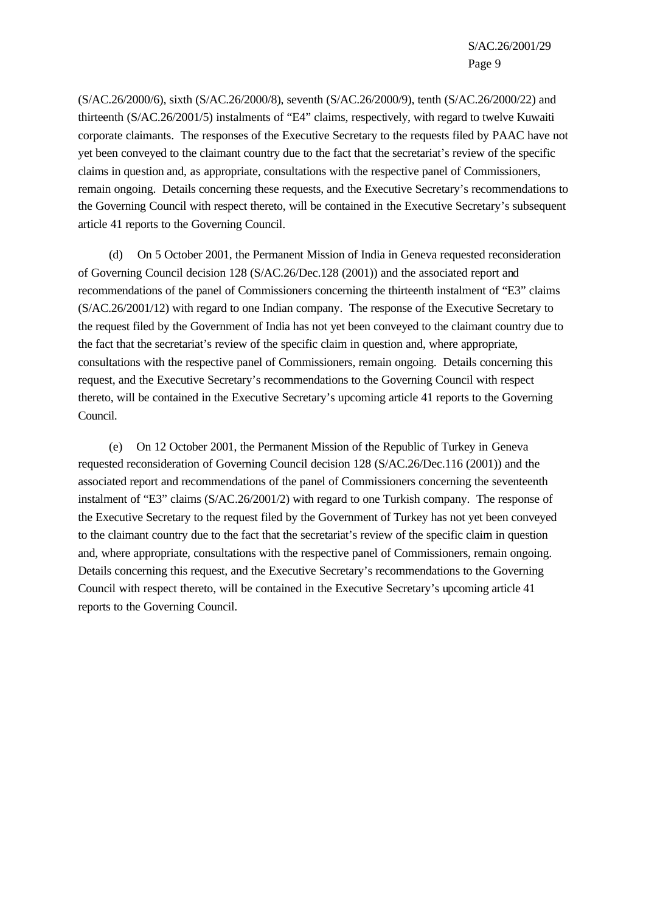(S/AC.26/2000/6), sixth (S/AC.26/2000/8), seventh (S/AC.26/2000/9), tenth (S/AC.26/2000/22) and thirteenth (S/AC.26/2001/5) instalments of "E4" claims, respectively, with regard to twelve Kuwaiti corporate claimants. The responses of the Executive Secretary to the requests filed by PAAC have not yet been conveyed to the claimant country due to the fact that the secretariat's review of the specific claims in question and, as appropriate, consultations with the respective panel of Commissioners, remain ongoing. Details concerning these requests, and the Executive Secretary's recommendations to the Governing Council with respect thereto, will be contained in the Executive Secretary's subsequent article 41 reports to the Governing Council.

(d) On 5 October 2001, the Permanent Mission of India in Geneva requested reconsideration of Governing Council decision 128 (S/AC.26/Dec.128 (2001)) and the associated report and recommendations of the panel of Commissioners concerning the thirteenth instalment of "E3" claims (S/AC.26/2001/12) with regard to one Indian company. The response of the Executive Secretary to the request filed by the Government of India has not yet been conveyed to the claimant country due to the fact that the secretariat's review of the specific claim in question and, where appropriate, consultations with the respective panel of Commissioners, remain ongoing. Details concerning this request, and the Executive Secretary's recommendations to the Governing Council with respect thereto, will be contained in the Executive Secretary's upcoming article 41 reports to the Governing Council.

(e) On 12 October 2001, the Permanent Mission of the Republic of Turkey in Geneva requested reconsideration of Governing Council decision 128 (S/AC.26/Dec.116 (2001)) and the associated report and recommendations of the panel of Commissioners concerning the seventeenth instalment of "E3" claims (S/AC.26/2001/2) with regard to one Turkish company. The response of the Executive Secretary to the request filed by the Government of Turkey has not yet been conveyed to the claimant country due to the fact that the secretariat's review of the specific claim in question and, where appropriate, consultations with the respective panel of Commissioners, remain ongoing. Details concerning this request, and the Executive Secretary's recommendations to the Governing Council with respect thereto, will be contained in the Executive Secretary's upcoming article 41 reports to the Governing Council.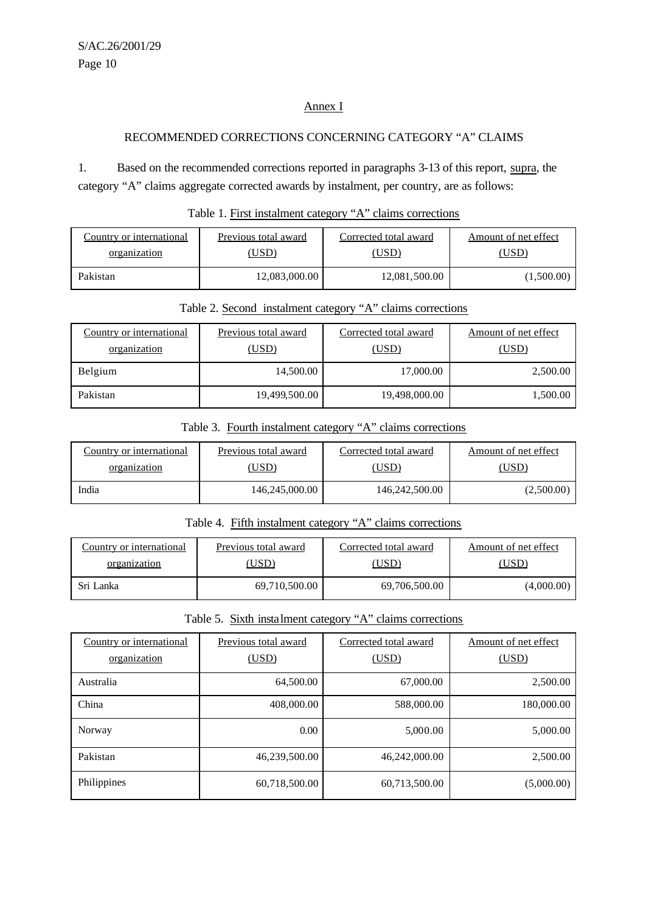### Annex I

# RECOMMENDED CORRECTIONS CONCERNING CATEGORY "A" CLAIMS

1. Based on the recommended corrections reported in paragraphs 3-13 of this report, supra, the category "A" claims aggregate corrected awards by instalment, per country, are as follows:

| Country or international | Previous total award | Corrected total award | Amount of net effect |
|--------------------------|----------------------|-----------------------|----------------------|
| organization             | USD)                 | USD)                  | USD)                 |
| Pakistan                 | 12,083,000.00        | 12,081,500.00         | (1,500.00)           |

#### Table 1. First instalment category "A" claims corrections

| Table 2. Second instalment category "A" claims corrections |
|------------------------------------------------------------|
|------------------------------------------------------------|

| Country or international<br>organization | Previous total award<br>(USD) | Corrected total award<br>(USD) | Amount of net effect<br>(USD) |
|------------------------------------------|-------------------------------|--------------------------------|-------------------------------|
| Belgium                                  | 14,500.00                     | 17,000.00                      | 2,500.00                      |
| Pakistan                                 | 19,499,500.00                 | 19,498,000.00                  | 1,500.00                      |

## Table 3. Fourth instalment category "A" claims corrections

| Country or international | Previous total award | Corrected total award | Amount of net effect |
|--------------------------|----------------------|-----------------------|----------------------|
| organization             | USD)                 | [USD                  | (USD)                |
| India                    | 146,245,000.00       | 146,242,500.00        | (2,500.00)           |

## Table 4. Fifth instalment category "A" claims corrections

| Country or international | Previous total award | Corrected total award | Amount of net effect |
|--------------------------|----------------------|-----------------------|----------------------|
| organization             | USD)                 | USD)                  | USD).                |
| Sri Lanka                | 69,710,500.00        | 69,706,500.00         | (4,000.00)           |

# Table 5. Sixth instalment category "A" claims corrections

| Country or international | Previous total award | Corrected total award | Amount of net effect |
|--------------------------|----------------------|-----------------------|----------------------|
| organization             | (USD)                | (USD)                 | (USD)                |
| Australia                | 64,500.00            | 67,000.00             | 2,500.00             |
| China                    | 408,000.00           | 588,000.00            | 180,000.00           |
| Norway                   | 0.00                 | 5,000.00              | 5,000.00             |
| Pakistan                 | 46,239,500.00        | 46,242,000.00         | 2,500.00             |
| Philippines              | 60,718,500.00        | 60,713,500.00         | (5,000.00)           |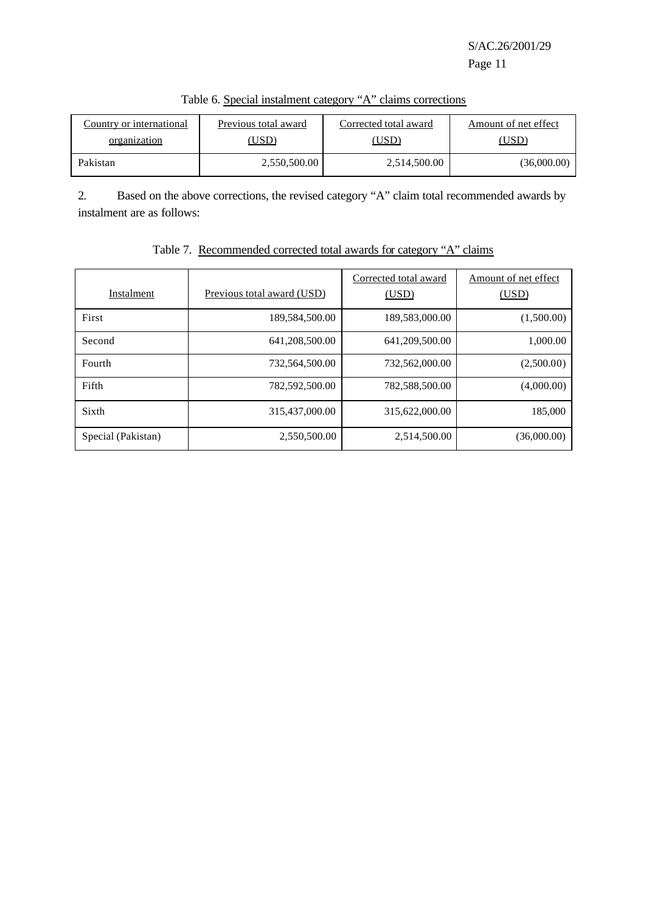| Country or international | Previous total award | Corrected total award | Amount of net effect |
|--------------------------|----------------------|-----------------------|----------------------|
| organization             | USD)                 | (USD)                 | (USD)                |
| Pakistan                 | 2,550,500.00         | 2,514,500.00          | (36,000.00)          |

Table 6. Special instalment category "A" claims corrections

2. Based on the above corrections, the revised category "A" claim total recommended awards by instalment are as follows:

| Instalment         | Previous total award (USD) | Corrected total award<br>(USD) | Amount of net effect<br>(USD) |
|--------------------|----------------------------|--------------------------------|-------------------------------|
| First              | 189,584,500.00             | 189,583,000.00                 | (1,500.00)                    |
| Second             | 641,208,500.00             | 641,209,500.00                 | 1,000.00                      |
| Fourth             | 732.564.500.00             | 732,562,000.00                 | (2,500.00)                    |
| Fifth              | 782,592,500.00             | 782,588,500.00                 | (4,000.00)                    |
| Sixth              | 315,437,000.00             | 315,622,000.00                 | 185,000                       |
| Special (Pakistan) | 2,550,500.00               | 2,514,500.00                   | (36,000.00)                   |

# Table 7. Recommended corrected total awards for category "A" claims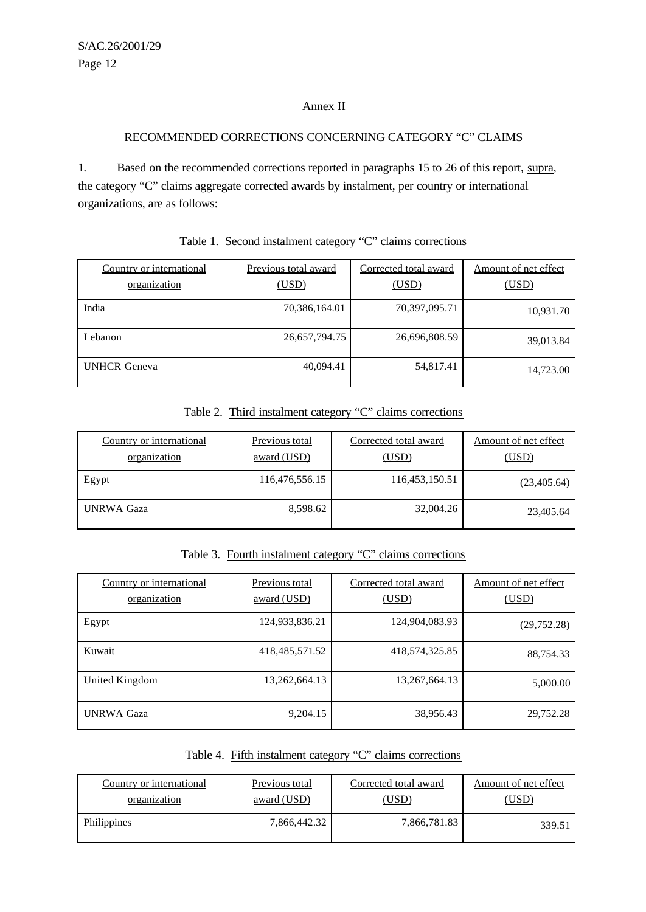## Annex II

# RECOMMENDED CORRECTIONS CONCERNING CATEGORY "C" CLAIMS

1. Based on the recommended corrections reported in paragraphs 15 to 26 of this report, supra, the category "C" claims aggregate corrected awards by instalment, per country or international organizations, are as follows:

| Country or international<br>organization | Previous total award<br>(USD) | Corrected total award<br>(USD) | Amount of net effect<br>(USD) |
|------------------------------------------|-------------------------------|--------------------------------|-------------------------------|
| India                                    | 70,386,164.01                 | 70,397,095.71                  | 10,931.70                     |
| Lebanon                                  | 26,657,794.75                 | 26,696,808.59                  | 39,013.84                     |
| <b>UNHCR</b> Geneva                      | 40,094.41                     | 54,817.41                      | 14,723.00                     |

#### Table 1. Second instalment category "C" claims corrections

# Table 2. Third instalment category "C" claims corrections

| Country or international<br>organization | Previous total<br>award (USD) | Corrected total award<br>(USD) | Amount of net effect<br>(USD) |
|------------------------------------------|-------------------------------|--------------------------------|-------------------------------|
| Egypt                                    | 116,476,556.15                | 116,453,150.51                 | (23,405.64)                   |
| <b>UNRWA Gaza</b>                        | 8,598.62                      | 32,004.26                      | 23,405.64                     |

Table 3. Fourth instalment category "C" claims corrections

| Country or international<br>organization | <b>Previous total</b><br>award (USD) | Corrected total award<br>(USD) | Amount of net effect<br>(USD) |
|------------------------------------------|--------------------------------------|--------------------------------|-------------------------------|
| Egypt                                    | 124,933,836.21                       | 124,904,083.93                 | (29, 752.28)                  |
| Kuwait                                   | 418, 485, 571. 52                    | 418,574,325.85                 | 88,754.33                     |
| United Kingdom                           | 13,262,664.13                        | 13,267,664.13                  | 5,000.00                      |
| <b>UNRWA Gaza</b>                        | 9,204.15                             | 38,956.43                      | 29,752.28                     |

| Table 4. Fifth instalment category "C" claims corrections |  |
|-----------------------------------------------------------|--|
|                                                           |  |

| Country or international | Previous total | Corrected total award | Amount of net effect |
|--------------------------|----------------|-----------------------|----------------------|
| organization             | award (USD)    | <u>'USD)</u>          | (USD)                |
| Philippines              | 7,866,442.32   | 7,866,781.83          | 339.51               |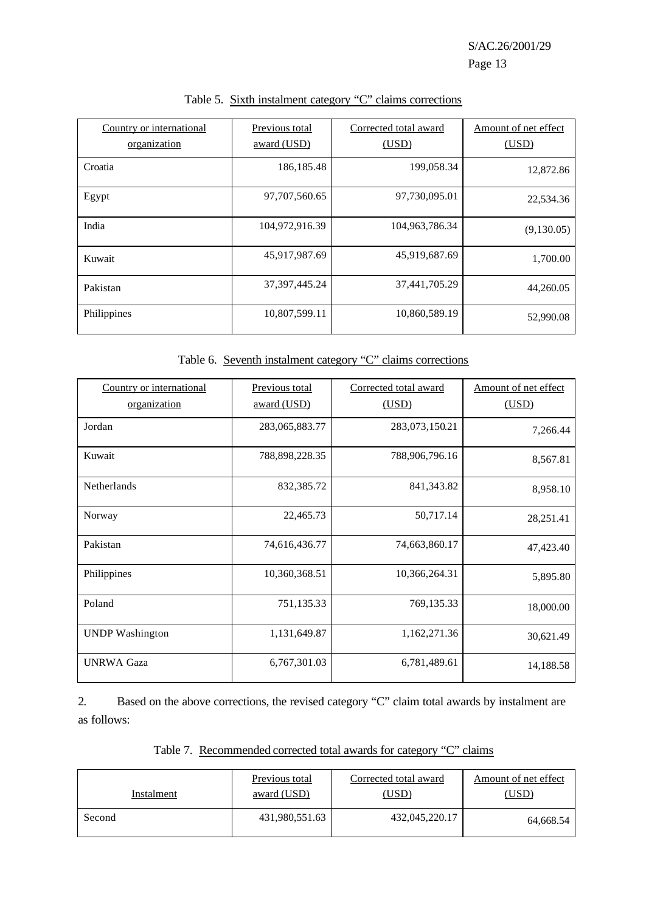| Country or international<br>organization | Previous total<br>award (USD) | Corrected total award<br>(USD) | Amount of net effect<br>(USD) |
|------------------------------------------|-------------------------------|--------------------------------|-------------------------------|
| Croatia                                  | 186, 185. 48                  | 199,058.34                     | 12,872.86                     |
| Egypt                                    | 97,707,560.65                 | 97,730,095.01                  | 22,534.36                     |
| India                                    | 104,972,916.39                | 104,963,786.34                 | (9,130.05)                    |
| Kuwait                                   | 45,917,987.69                 | 45,919,687.69                  | 1,700.00                      |
| Pakistan                                 | 37, 397, 445. 24              | 37,441,705.29                  | 44,260.05                     |
| Philippines                              | 10,807,599.11                 | 10,860,589.19                  | 52,990.08                     |

#### Table 5. Sixth instalment category "C" claims corrections

Table 6. Seventh instalment category "C" claims corrections

| Country or international<br>organization | Previous total<br>award (USD) | Corrected total award<br>(USD) | Amount of net effect<br>(USD) |
|------------------------------------------|-------------------------------|--------------------------------|-------------------------------|
| Jordan                                   | 283,065,883.77                | 283,073,150.21                 | 7,266.44                      |
| Kuwait                                   | 788,898,228.35                | 788,906,796.16                 | 8,567.81                      |
| <b>Netherlands</b>                       | 832, 385. 72                  | 841, 343. 82                   | 8,958.10                      |
| Norway                                   | 22,465.73                     | 50,717.14                      | 28,251.41                     |
| Pakistan                                 | 74,616,436.77                 | 74,663,860.17                  | 47,423.40                     |
| Philippines                              | 10,360,368.51                 | 10,366,264.31                  | 5,895.80                      |
| Poland                                   | 751,135.33                    | 769,135.33                     | 18,000.00                     |
| <b>UNDP</b> Washington                   | 1,131,649.87                  | 1,162,271.36                   | 30,621.49                     |
| <b>UNRWA Gaza</b>                        | 6,767,301.03                  | 6,781,489.61                   | 14,188.58                     |

2. Based on the above corrections, the revised category "C" claim total awards by instalment are as follows:

Table 7. Recommended corrected total awards for category "C" claims

| Instalment | Previous total | Corrected total award | Amount of net effect |
|------------|----------------|-----------------------|----------------------|
|            | award (USD)    | (USD)                 | USD)                 |
| Second     | 431,980,551.63 | 432,045,220.17        | 64,668.54            |